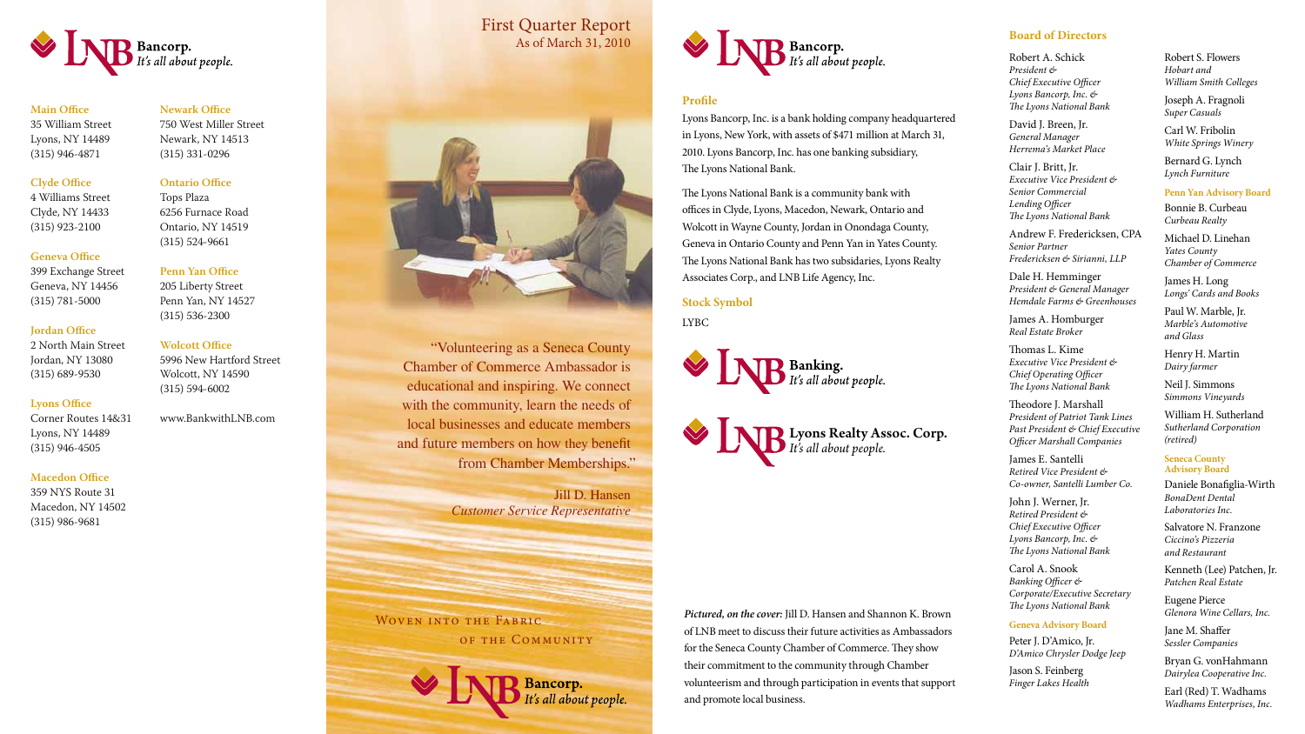





**Main Office** 35 William Street Lyons, NY 14489 (315) 946-4871

**Clyde Office**

4 Williams Street Clyde, NY 14433 (315) 923-2100

# **Geneva Office**

399 Exchange Street Geneva, NY 14456 (315) 781-5000

### **Jordan Office**

2 North Main Street Jordan, NY 13080 (315) 689-9530

# **Lyons Office**

Corner Routes 14&31 Lyons, NY 14489 (315) 946-4505

# **Macedon Office**

359 NYS Route 31 Macedon, NY 14502 (315) 986-9681

# **Newark Office**

750 West Miller Street Newark, NY 14513 (315) 331-0296

# **Ontario Office**

Tops Plaza 6256 Furnace Road Ontario, NY 14519 (315) 524-9661

# **Penn Yan Office**

205 Liberty Street Penn Yan, NY 14527 (315) 536-2300

# **Wolcott Office**

5996 New Hartford Street Wolcott, NY 14590 (315) 594-6002

David J. Breen, Jr. *General Manager Herrema's Market Place*

www.BankwithLNB.com

# **Profile**

Lyons Bancorp, Inc. is a bank holding company headquartered in Lyons, New York, with assets of \$471 million at March 31, 2010. Lyons Bancorp, Inc. has one banking subsidiary, The Lyons National Bank.

The Lyons National Bank is a community bank with offices in Clyde, Lyons, Macedon, Newark, Ontario and Wolcott in Wayne County, Jordan in Onondaga County, Geneva in Ontario County and Penn Yan in Yates County. The Lyons National Bank has two subsidaries, Lyons Realty Associates Corp., and LNB Life Agency, Inc.

# **Stock Symbol**

LYBC



# **Board of Directors**

Robert A. Schick *President & Chief Executive Officer Lyons Bancorp, Inc. & The Lyons National Bank*

Clair J. Britt, Jr. *Executive Vice President & Senior Commercial Lending Officer The Lyons National Bank*

Andrew F. Fredericksen, CPA *Senior Partner Fredericksen & Sirianni, LLP*

Dale H. Hemminger *President & General Manager Hemdale Farms & Greenhouses* 

James A. Homburger *Real Estate Broker* 

Thomas L. Kime *Executive Vice President & Chief Operating Officer The Lyons National Bank*

Theodore J. Marshall *President of Patriot Tank Lines Past President & Chief Executive Officer Marshall Companies*

James E. Santelli *Retired Vice President & Co-owner, Santelli Lumber Co.*

John J. Werner, Jr. *Retired President & Chief Executive Officer Lyons Bancorp, Inc. & The Lyons National Bank*

Carol A. Snook *Banking Officer & Corporate/Executive Secretary The Lyons National Bank*

#### **Geneva Advisory Board**

Peter J. D'Amico, Jr. *D'Amico Chrysler Dodge Jeep*

Jason S. Feinberg *Finger Lakes Health* Robert S. Flowers *Hobart and William Smith Colleges*

Joseph A. Fragnoli *Super Casuals*

Carl W. Fribolin *White Springs Winery*

Bernard G. Lynch *Lynch Furniture*

#### **Penn Yan Advisory Board**

Bonnie B. Curbeau *Curbeau Realty*

Michael D. Linehan *Yates County Chamber of Commerce*

James H. Long *Longs' Cards and Books*

Paul W. Marble, Jr. *Marble's Automotive and Glass* 

Henry H. Martin *Dairy farmer*

Neil J. Simmons *Simmons Vineyards*

William H. Sutherland *Sutherland Corporation (retired)*

#### **Seneca County Advisory Board**

Daniele Bonafiglia-Wirth *BonaDent Dental Laboratories Inc.* 

Salvatore N. Franzone *Ciccino's Pizzeria and Restaurant*

Kenneth (Lee) Patchen, Jr. *Patchen Real Estate*

Eugene Pierce *Glenora Wine Cellars, Inc.*

Jane M. Shaffer *Sessler Companies*

Bryan G. vonHahmann *Dairylea Cooperative Inc.*

Earl (Red) T. Wadhams *Wadhams Enterprises, Inc.*

Lyons Realty Assoc. Corp. *It's all about people.*

"Volunteering as a Seneca County Chamber of Commerce Ambassador is educational and inspiring. We connect with the community, learn the needs of local businesses and educate members and future members on how they benefit from Chamber Memberships."

> Jill D. Hansen *Customer Service Representative*

> > Bancorp.<br>It's all about people.

WOVEN INTO THE FABRIC OF THE COMMUNITY

# **NB** Bancorp.<br>It's all about people.

*Pictured, on the cover:* Jill D. Hansen and Shannon K. Brown of LNB meet to discuss their future activities as Ambassadors for the Seneca County Chamber of Commerce. They show their commitment to the community through Chamber volunteerism and through participation in events that support and promote local business.